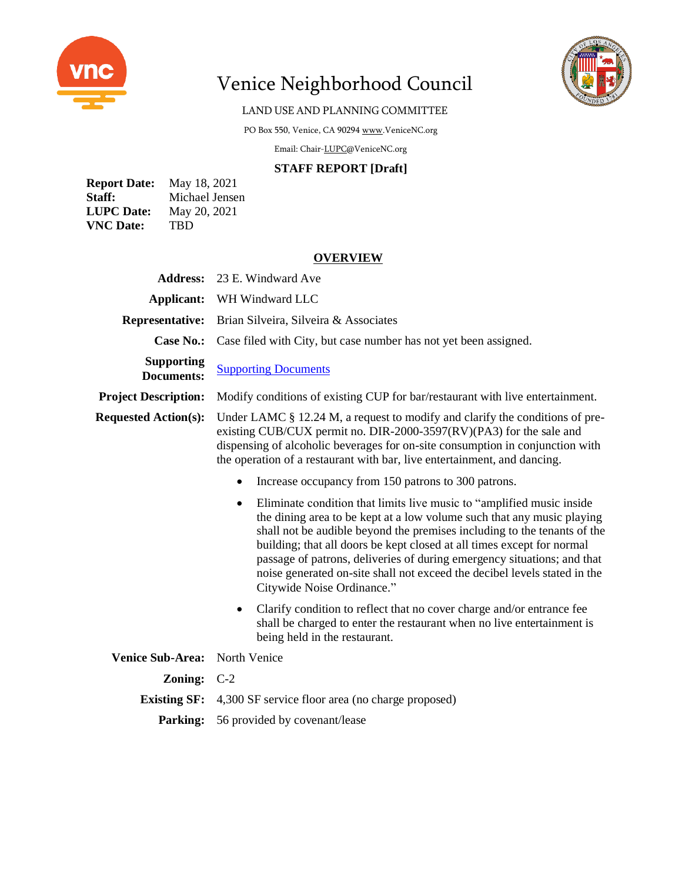

# Venice Neighborhood Council



## LAND USE AND PLANNING COMMITTEE

PO Box 550, Venice, CA 9029[4 www.VeniceNC.org](http://www.venicenc.org/)

Email: Chair[-LUPC@VeniceNC.org](mailto:LUPC@VeniceNC.org)

#### **STAFF REPORT [Draft]**

| <b>Report Date:</b> | May 18, 2021   |
|---------------------|----------------|
| Staff:              | Michael Jensen |
| <b>LUPC</b> Date:   | May 20, 2021   |
| <b>VNC</b> Date:    | <b>TBD</b>     |

### **OVERVIEW**

| <b>Address:</b>                        | 23 E. Windward Ave                                                                                                                                                                                                                                                                                                                                                                                                                                                                                       |  |
|----------------------------------------|----------------------------------------------------------------------------------------------------------------------------------------------------------------------------------------------------------------------------------------------------------------------------------------------------------------------------------------------------------------------------------------------------------------------------------------------------------------------------------------------------------|--|
| <b>Applicant:</b>                      | WH Windward LLC                                                                                                                                                                                                                                                                                                                                                                                                                                                                                          |  |
| <b>Representative:</b>                 | Brian Silveira, Silveira & Associates                                                                                                                                                                                                                                                                                                                                                                                                                                                                    |  |
| <b>Case No.:</b>                       | Case filed with City, but case number has not yet been assigned.                                                                                                                                                                                                                                                                                                                                                                                                                                         |  |
| <b>Supporting</b><br><b>Documents:</b> | <b>Supporting Documents</b>                                                                                                                                                                                                                                                                                                                                                                                                                                                                              |  |
| <b>Project Description:</b>            | Modify conditions of existing CUP for bar/restaurant with live entertainment.                                                                                                                                                                                                                                                                                                                                                                                                                            |  |
| <b>Requested Action(s):</b>            | Under LAMC $\S$ 12.24 M, a request to modify and clarify the conditions of pre-<br>existing CUB/CUX permit no. DIR-2000-3597(RV)(PA3) for the sale and<br>dispensing of alcoholic beverages for on-site consumption in conjunction with<br>the operation of a restaurant with bar, live entertainment, and dancing.                                                                                                                                                                                      |  |
|                                        | Increase occupancy from 150 patrons to 300 patrons.<br>$\bullet$                                                                                                                                                                                                                                                                                                                                                                                                                                         |  |
|                                        | Eliminate condition that limits live music to "amplified music inside<br>$\bullet$<br>the dining area to be kept at a low volume such that any music playing<br>shall not be audible beyond the premises including to the tenants of the<br>building; that all doors be kept closed at all times except for normal<br>passage of patrons, deliveries of during emergency situations; and that<br>noise generated on-site shall not exceed the decibel levels stated in the<br>Citywide Noise Ordinance." |  |
|                                        | Clarify condition to reflect that no cover charge and/or entrance fee<br>٠<br>shall be charged to enter the restaurant when no live entertainment is<br>being held in the restaurant.                                                                                                                                                                                                                                                                                                                    |  |
| <b>Venice Sub-Area:</b>                | North Venice                                                                                                                                                                                                                                                                                                                                                                                                                                                                                             |  |
| Zoning:                                | $C-2$                                                                                                                                                                                                                                                                                                                                                                                                                                                                                                    |  |
| <b>Existing SF:</b>                    | 4,300 SF service floor area (no charge proposed)                                                                                                                                                                                                                                                                                                                                                                                                                                                         |  |
| <b>Parking:</b>                        | 56 provided by covenant/lease                                                                                                                                                                                                                                                                                                                                                                                                                                                                            |  |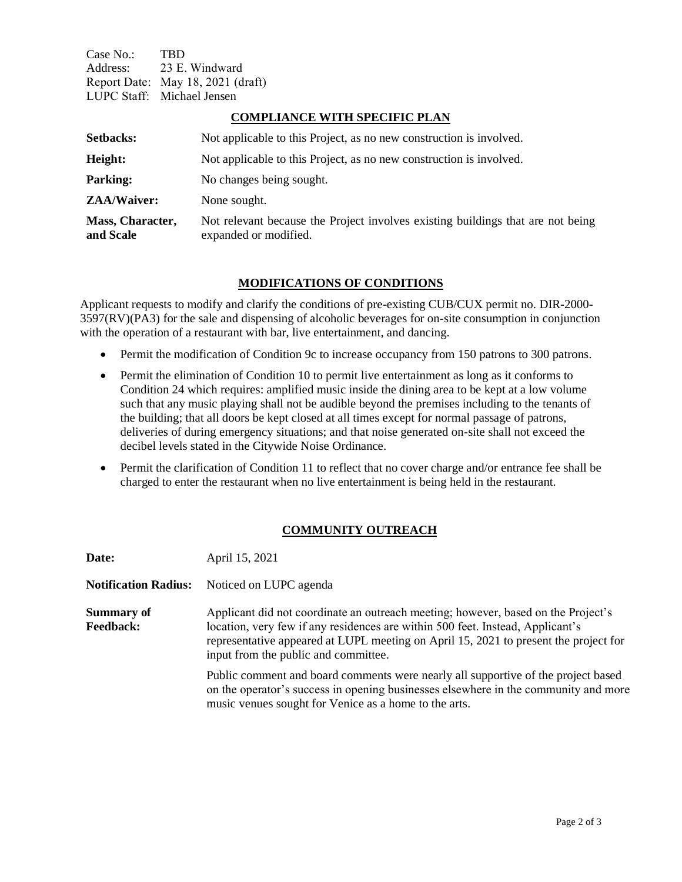Case No.: TBD Address: 23 E. Windward Report Date: May 18, 2021 (draft) LUPC Staff: Michael Jensen

#### **COMPLIANCE WITH SPECIFIC PLAN**

| <b>Setbacks:</b>              | Not applicable to this Project, as no new construction is involved.                                      |
|-------------------------------|----------------------------------------------------------------------------------------------------------|
| Height:                       | Not applicable to this Project, as no new construction is involved.                                      |
| <b>Parking:</b>               | No changes being sought.                                                                                 |
| <b>ZAA/Waiver:</b>            | None sought.                                                                                             |
| Mass, Character,<br>and Scale | Not relevant because the Project involves existing buildings that are not being<br>expanded or modified. |

#### **MODIFICATIONS OF CONDITIONS**

Applicant requests to modify and clarify the conditions of pre-existing CUB/CUX permit no. DIR-2000- 3597(RV)(PA3) for the sale and dispensing of alcoholic beverages for on-site consumption in conjunction with the operation of a restaurant with bar, live entertainment, and dancing.

- Permit the modification of Condition 9c to increase occupancy from 150 patrons to 300 patrons.
- Permit the elimination of Condition 10 to permit live entertainment as long as it conforms to Condition 24 which requires: amplified music inside the dining area to be kept at a low volume such that any music playing shall not be audible beyond the premises including to the tenants of the building; that all doors be kept closed at all times except for normal passage of patrons, deliveries of during emergency situations; and that noise generated on-site shall not exceed the decibel levels stated in the Citywide Noise Ordinance.
- Permit the clarification of Condition 11 to reflect that no cover charge and/or entrance fee shall be charged to enter the restaurant when no live entertainment is being held in the restaurant.

## **COMMUNITY OUTREACH**

| Date:                          | April 15, 2021                                                                                                                                                                                                                                                                                      |
|--------------------------------|-----------------------------------------------------------------------------------------------------------------------------------------------------------------------------------------------------------------------------------------------------------------------------------------------------|
| <b>Notification Radius:</b>    | Noticed on LUPC agenda                                                                                                                                                                                                                                                                              |
| Summary of<br><b>Feedback:</b> | Applicant did not coordinate an outreach meeting; however, based on the Project's<br>location, very few if any residences are within 500 feet. Instead, Applicant's<br>representative appeared at LUPL meeting on April 15, 2021 to present the project for<br>input from the public and committee. |
|                                | Public comment and board comments were nearly all supportive of the project based<br>on the operator's success in opening businesses elsewhere in the community and more<br>music venues sought for Venice as a home to the arts.                                                                   |